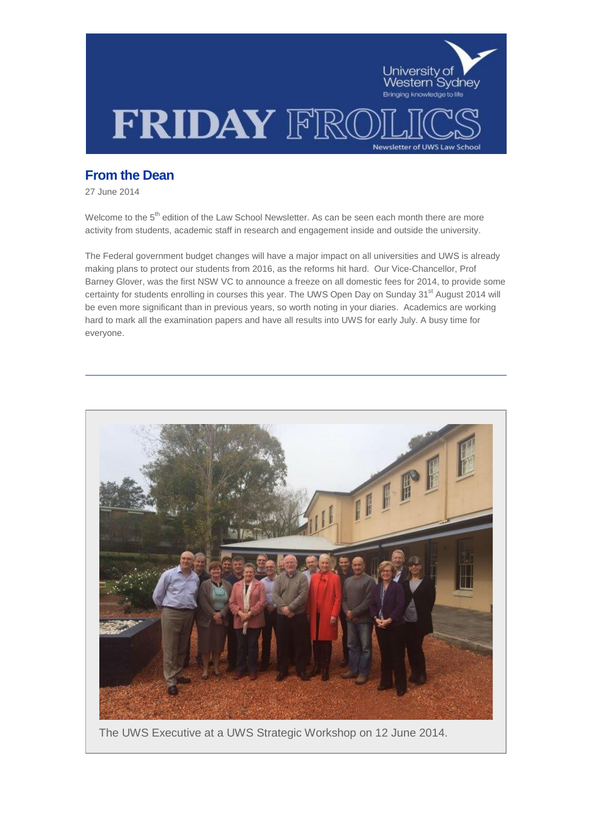

# **From the Dean**

27 June 2014

Welcome to the 5<sup>th</sup> edition of the Law School Newsletter. As can be seen each month there are more activity from students, academic staff in research and engagement inside and outside the university.

The Federal government budget changes will have a major impact on all universities and UWS is already making plans to protect our students from 2016, as the reforms hit hard. Our Vice-Chancellor, Prof Barney Glover, was the first NSW VC to announce a freeze on all domestic fees for 2014, to provide some certainty for students enrolling in courses this year. The UWS Open Day on Sunday 31<sup>st</sup> August 2014 will be even more significant than in previous years, so worth noting in your diaries. Academics are working hard to mark all the examination papers and have all results into UWS for early July. A busy time for everyone.



The UWS Executive at a UWS Strategic Workshop on 12 June 2014.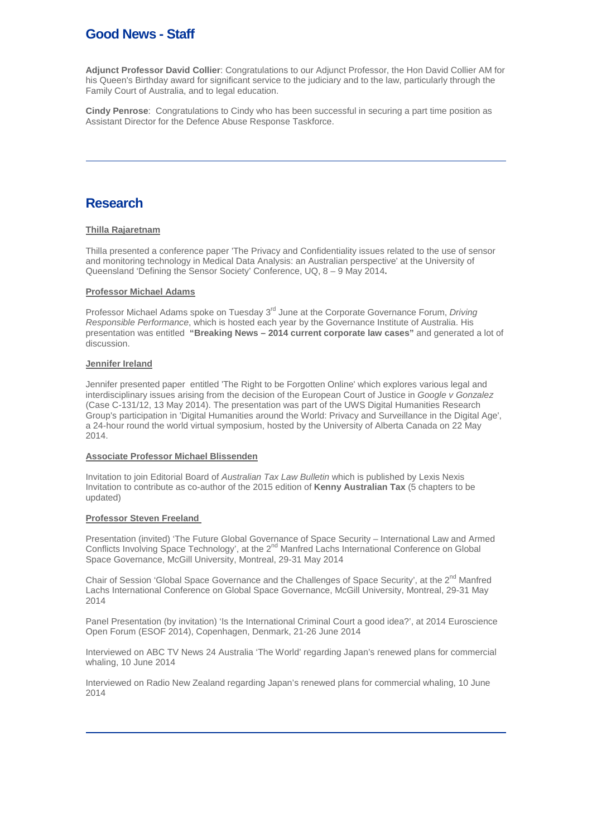# **Good News - Staff**

**Adjunct Professor David Collier**: Congratulations to our Adjunct Professor, the Hon David Collier AM for his Queen's Birthday award for significant service to the judiciary and to the law, particularly through the Family Court of Australia, and to legal education.

**Cindy Penrose**: Congratulations to Cindy who has been successful in securing a part time position as Assistant Director for the Defence Abuse Response Taskforce.

# **Research**

## **Thilla Rajaretnam**

Thilla presented a conference paper 'The Privacy and Confidentiality issues related to the use of sensor and monitoring technology in Medical Data Analysis: an Australian perspective' at the University of Queensland 'Defining the Sensor Society' Conference, UQ, 8 – 9 May 2014**.**

### **Professor Michael Adams**

Professor Michael Adams spoke on Tuesday 3<sup>rd</sup> June at the Corporate Governance Forum, *Driving Responsible Performance*, which is hosted each year by the Governance Institute of Australia. His presentation was entitled **"Breaking News – 2014 current corporate law cases"** and generated a lot of discussion.

### **Jennifer Ireland**

Jennifer presented paper entitled 'The Right to be Forgotten Online' which explores various legal and interdisciplinary issues arising from the decision of the European Court of Justice in *Google v Gonzalez* (Case C-131/12, 13 May 2014). The presentation was part of the UWS Digital Humanities Research Group's participation in 'Digital Humanities around the World: Privacy and Surveillance in the Digital Age', a 24-hour round the world virtual symposium, hosted by the University of Alberta Canada on 22 May 2014.

### **Associate Professor Michael Blissenden**

Invitation to join Editorial Board of *Australian Tax Law Bulletin* which is published by Lexis Nexis Invitation to contribute as co-author of the 2015 edition of **Kenny Australian Tax** (5 chapters to be updated)

### **Professor Steven Freeland**

Presentation (invited) 'The Future Global Governance of Space Security – International Law and Armed Conflicts Involving Space Technology', at the 2<sup>nd</sup> Manfred Lachs International Conference on Global Space Governance, McGill University, Montreal, 29-31 May 2014

Chair of Session 'Global Space Governance and the Challenges of Space Security', at the  $2^{nd}$  Manfred Lachs International Conference on Global Space Governance, McGill University, Montreal, 29-31 May 2014

Panel Presentation (by invitation) 'Is the International Criminal Court a good idea?', at 2014 Euroscience Open Forum (ESOF 2014), Copenhagen, Denmark, 21-26 June 2014

Interviewed on ABC TV News 24 Australia 'The World' regarding Japan's renewed plans for commercial whaling, 10 June 2014

Interviewed on Radio New Zealand regarding Japan's renewed plans for commercial whaling, 10 June 2014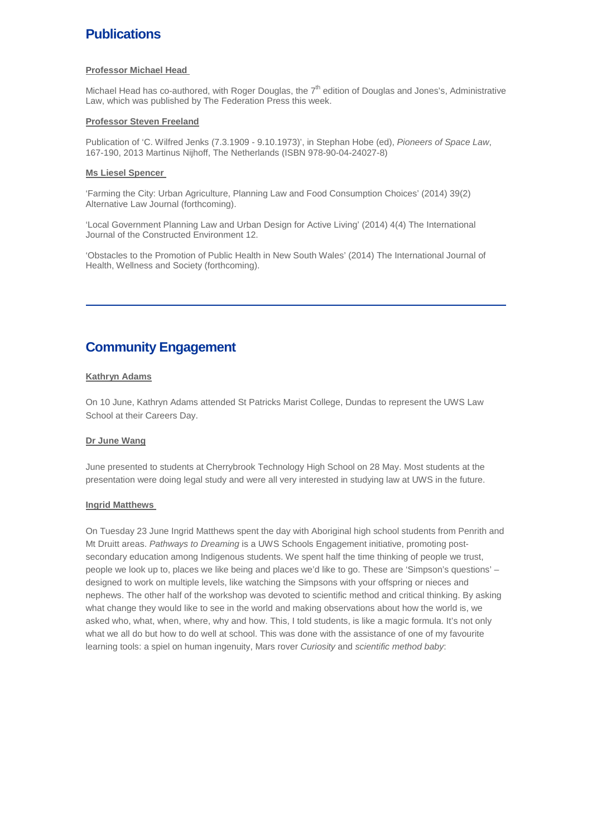# **Publications**

### **Professor Michael Head**

Michael Head has co-authored, with Roger Douglas, the  $7<sup>th</sup>$  edition of Douglas and Jones's, Administrative Law, which was published by The Federation Press this week.

### **Professor Steven Freeland**

Publication of 'C. Wilfred Jenks (7.3.1909 - 9.10.1973)', in Stephan Hobe (ed), *Pioneers of Space Law*, 167-190, 2013 Martinus Nijhoff, The Netherlands (ISBN 978-90-04-24027-8)

### **Ms Liesel Spencer**

'Farming the City: Urban Agriculture, Planning Law and Food Consumption Choices' (2014) 39(2) Alternative Law Journal (forthcoming).

'Local Government Planning Law and Urban Design for Active Living' (2014) 4(4) The International Journal of the Constructed Environment 12.

'Obstacles to the Promotion of Public Health in New South Wales' (2014) The International Journal of Health, Wellness and Society (forthcoming).

# **Community Engagement**

## **Kathryn Adams**

On 10 June, Kathryn Adams attended St Patricks Marist College, Dundas to represent the UWS Law School at their Careers Day.

## **Dr June Wang**

June presented to students at Cherrybrook Technology High School on 28 May. Most students at the presentation were doing legal study and were all very interested in studying law at UWS in the future.

### **Ingrid Matthews**

On Tuesday 23 June Ingrid Matthews spent the day with Aboriginal high school students from Penrith and Mt Druitt areas. *Pathways to Dreaming* is a UWS Schools Engagement initiative, promoting postsecondary education among Indigenous students. We spent half the time thinking of people we trust, people we look up to, places we like being and places we'd like to go. These are 'Simpson's questions' – designed to work on multiple levels, like watching the Simpsons with your offspring or nieces and nephews. The other half of the workshop was devoted to scientific method and critical thinking. By asking what change they would like to see in the world and making observations about how the world is, we asked who, what, when, where, why and how. This, I told students, is like a magic formula. It's not only what we all do but how to do well at school. This was done with the assistance of one of my favourite learning tools: a spiel on human ingenuity, Mars rover *Curiosity* and *scientific method baby*: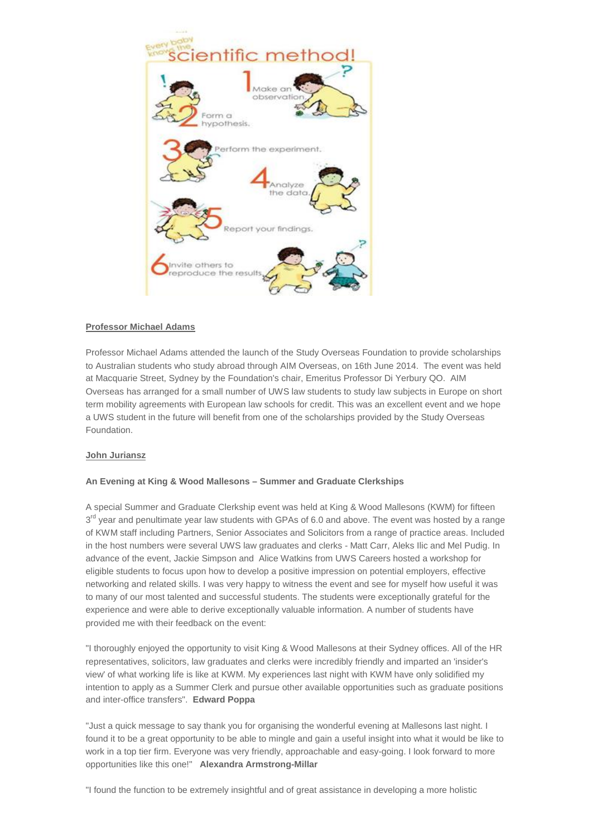

## **Professor Michael Adams**

Professor Michael Adams attended the launch of the Study Overseas Foundation to provide scholarships to Australian students who study abroad through AIM Overseas, on 16th June 2014. The event was held at Macquarie Street, Sydney by the Foundation's chair, Emeritus Professor Di Yerbury QO. AIM Overseas has arranged for a small number of UWS law students to study law subjects in Europe on short term mobility agreements with European law schools for credit. This was an excellent event and we hope a UWS student in the future will benefit from one of the scholarships provided by the Study Overseas Foundation.

## **John Juriansz**

## **An Evening at King & Wood Mallesons – Summer and Graduate Clerkships**

A special Summer and Graduate Clerkship event was held at King & Wood Mallesons (KWM) for fifteen  $3<sup>rd</sup>$  year and penultimate year law students with GPAs of 6.0 and above. The event was hosted by a range of KWM staff including Partners, Senior Associates and Solicitors from a range of practice areas. Included in the host numbers were several UWS law graduates and clerks - Matt Carr, Aleks Ilic and Mel Pudig. In advance of the event, Jackie Simpson and Alice Watkins from UWS Careers hosted a workshop for eligible students to focus upon how to develop a positive impression on potential employers, effective networking and related skills. I was very happy to witness the event and see for myself how useful it was to many of our most talented and successful students. The students were exceptionally grateful for the experience and were able to derive exceptionally valuable information. A number of students have provided me with their feedback on the event:

"I thoroughly enjoyed the opportunity to visit King & Wood Mallesons at their Sydney offices. All of the HR representatives, solicitors, law graduates and clerks were incredibly friendly and imparted an 'insider's view' of what working life is like at KWM. My experiences last night with KWM have only solidified my intention to apply as a Summer Clerk and pursue other available opportunities such as graduate positions and inter-office transfers". **Edward Poppa**

"Just a quick message to say thank you for organising the wonderful evening at Mallesons last night. I found it to be a great opportunity to be able to mingle and gain a useful insight into what it would be like to work in a top tier firm. Everyone was very friendly, approachable and easy-going. I look forward to more opportunities like this one!" **Alexandra Armstrong-Millar**

"I found the function to be extremely insightful and of great assistance in developing a more holistic